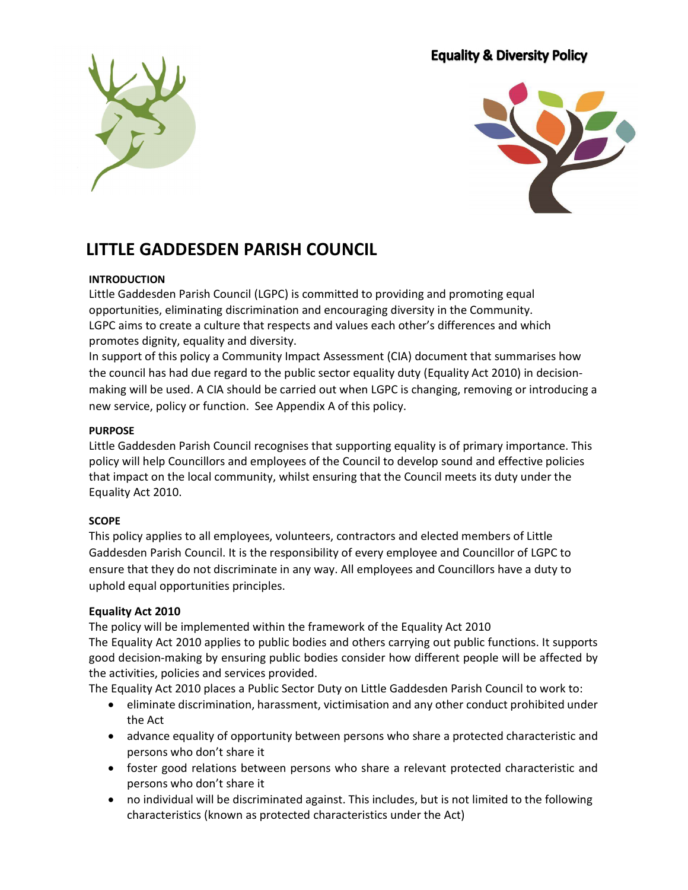## **Equality & Diversity Policy**





## LITTLE GADDESDEN PARISH COUNCIL

#### **INTRODUCTION**

Little Gaddesden Parish Council (LGPC) is committed to providing and promoting equal opportunities, eliminating discrimination and encouraging diversity in the Community. LGPC aims to create a culture that respects and values each other's differences and which promotes dignity, equality and diversity.

In support of this policy a Community Impact Assessment (CIA) document that summarises how the council has had due regard to the public sector equality duty (Equality Act 2010) in decisionmaking will be used. A CIA should be carried out when LGPC is changing, removing or introducing a new service, policy or function. See Appendix A of this policy.

#### PURPOSE

Little Gaddesden Parish Council recognises that supporting equality is of primary importance. This policy will help Councillors and employees of the Council to develop sound and effective policies that impact on the local community, whilst ensuring that the Council meets its duty under the Equality Act 2010.

#### SCOPE

This policy applies to all employees, volunteers, contractors and elected members of Little Gaddesden Parish Council. It is the responsibility of every employee and Councillor of LGPC to ensure that they do not discriminate in any way. All employees and Councillors have a duty to uphold equal opportunities principles.

#### Equality Act 2010

The policy will be implemented within the framework of the Equality Act 2010

The Equality Act 2010 applies to public bodies and others carrying out public functions. It supports good decision-making by ensuring public bodies consider how different people will be affected by the activities, policies and services provided.

The Equality Act 2010 places a Public Sector Duty on Little Gaddesden Parish Council to work to:

- eliminate discrimination, harassment, victimisation and any other conduct prohibited under the Act
- advance equality of opportunity between persons who share a protected characteristic and persons who don't share it
- foster good relations between persons who share a relevant protected characteristic and persons who don't share it
- no individual will be discriminated against. This includes, but is not limited to the following characteristics (known as protected characteristics under the Act)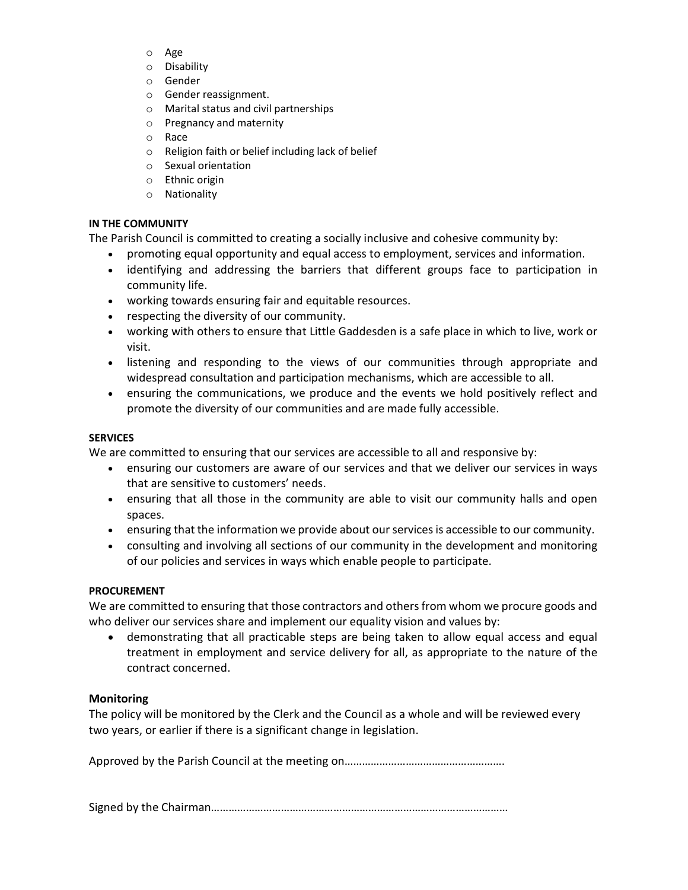- o Age
- o Disability
- o Gender
- o Gender reassignment.
- o Marital status and civil partnerships
- o Pregnancy and maternity
- o Race
- o Religion faith or belief including lack of belief
- o Sexual orientation
- o Ethnic origin
- o Nationality

#### IN THE COMMUNITY

The Parish Council is committed to creating a socially inclusive and cohesive community by:

- promoting equal opportunity and equal access to employment, services and information.
- identifying and addressing the barriers that different groups face to participation in community life.
- working towards ensuring fair and equitable resources.
- respecting the diversity of our community.
- working with others to ensure that Little Gaddesden is a safe place in which to live, work or visit.
- listening and responding to the views of our communities through appropriate and widespread consultation and participation mechanisms, which are accessible to all.
- ensuring the communications, we produce and the events we hold positively reflect and promote the diversity of our communities and are made fully accessible.

#### **SERVICES**

We are committed to ensuring that our services are accessible to all and responsive by:

- ensuring our customers are aware of our services and that we deliver our services in ways that are sensitive to customers' needs.
- ensuring that all those in the community are able to visit our community halls and open spaces.
- ensuring that the information we provide about our services is accessible to our community.
- consulting and involving all sections of our community in the development and monitoring of our policies and services in ways which enable people to participate.

#### PROCUREMENT

We are committed to ensuring that those contractors and others from whom we procure goods and who deliver our services share and implement our equality vision and values by:

 demonstrating that all practicable steps are being taken to allow equal access and equal treatment in employment and service delivery for all, as appropriate to the nature of the contract concerned.

#### Monitoring

The policy will be monitored by the Clerk and the Council as a whole and will be reviewed every two years, or earlier if there is a significant change in legislation.

Approved by the Parish Council at the meeting on……………………………………………….

Signed by the Chairman…………………………………………………………………………………………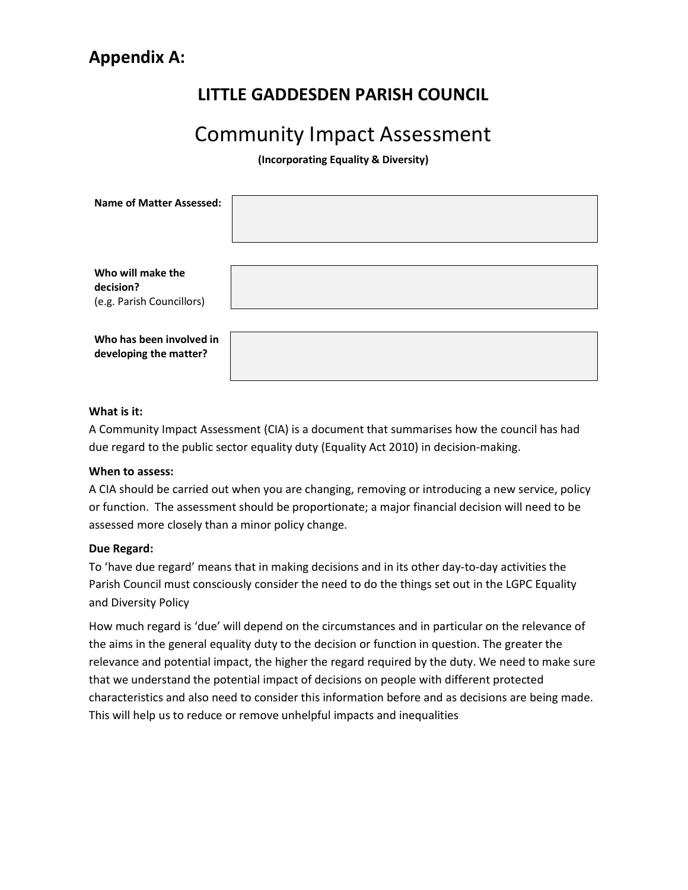## LITTLE GADDESDEN PARISH COUNCIL

# Community Impact Assessment

(Incorporating Equality & Diversity)

| <b>Name of Matter Assessed:</b>                             |  |
|-------------------------------------------------------------|--|
| Who will make the<br>decision?<br>(e.g. Parish Councillors) |  |
| Who has been involved in<br>developing the matter?          |  |

#### What is it:

A Community Impact Assessment (CIA) is a document that summarises how the council has had due regard to the public sector equality duty (Equality Act 2010) in decision-making.

#### When to assess:

A CIA should be carried out when you are changing, removing or introducing a new service, policy or function. The assessment should be proportionate; a major financial decision will need to be assessed more closely than a minor policy change.

#### Due Regard:

To 'have due regard' means that in making decisions and in its other day-to-day activities the Parish Council must consciously consider the need to do the things set out in the LGPC Equality and Diversity Policy

How much regard is 'due' will depend on the circumstances and in particular on the relevance of the aims in the general equality duty to the decision or function in question. The greater the relevance and potential impact, the higher the regard required by the duty. We need to make sure that we understand the potential impact of decisions on people with different protected characteristics and also need to consider this information before and as decisions are being made. This will help us to reduce or remove unhelpful impacts and inequalities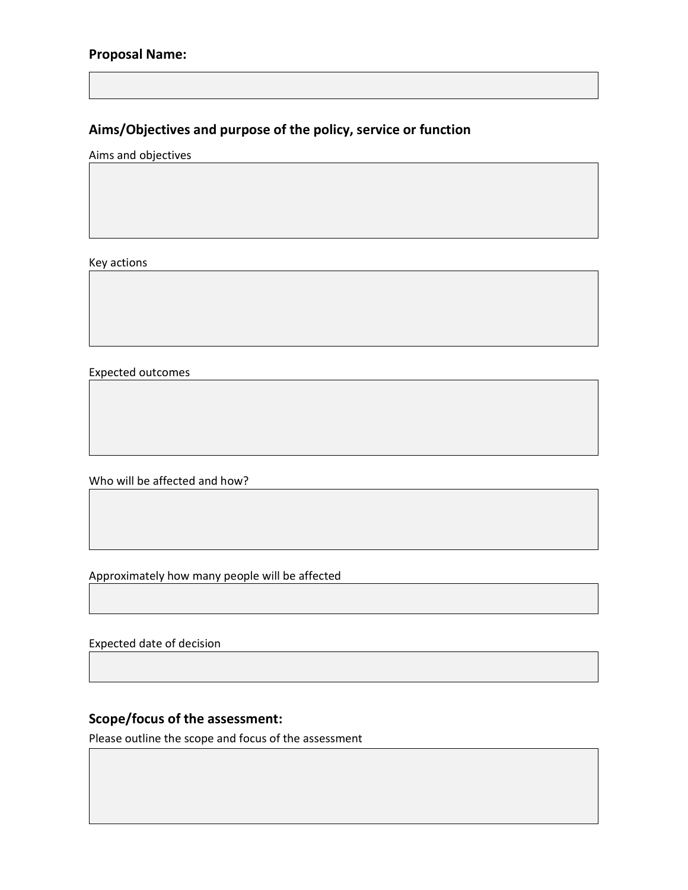### Proposal Name:

## Aims/Objectives and purpose of the policy, service or function

Aims and objectives

Key actions

Expected outcomes

Who will be affected and how?

Approximately how many people will be affected

Expected date of decision

## Scope/focus of the assessment:

Please outline the scope and focus of the assessment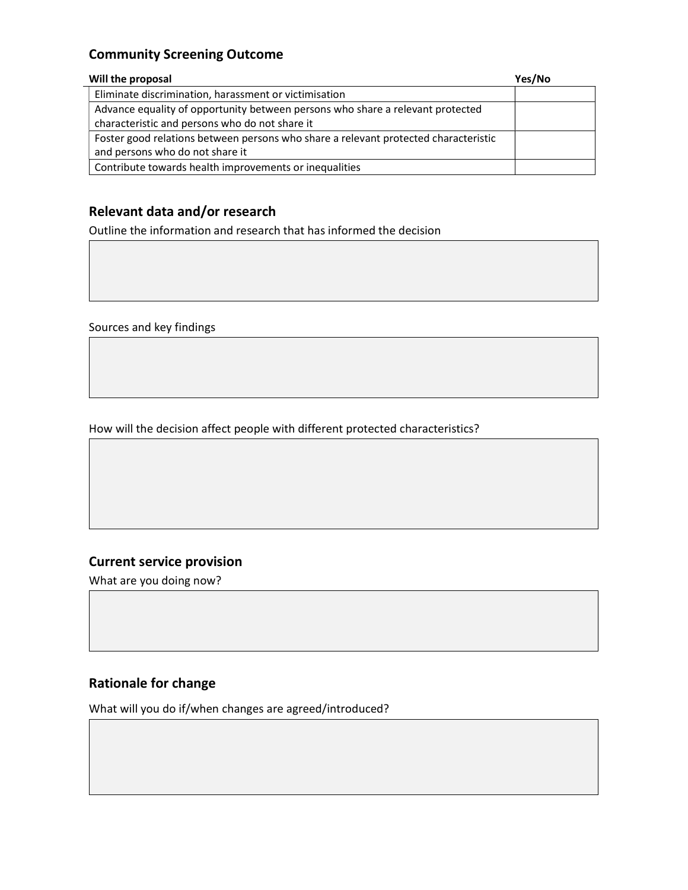## Community Screening Outcome

| Will the proposal                                                                   | Yes/No |
|-------------------------------------------------------------------------------------|--------|
| Eliminate discrimination, harassment or victimisation                               |        |
| Advance equality of opportunity between persons who share a relevant protected      |        |
| characteristic and persons who do not share it                                      |        |
| Foster good relations between persons who share a relevant protected characteristic |        |
| and persons who do not share it                                                     |        |
| Contribute towards health improvements or inequalities                              |        |

## Relevant data and/or research

Outline the information and research that has informed the decision

Sources and key findings

How will the decision affect people with different protected characteristics?

### Current service provision

What are you doing now?

## Rationale for change

What will you do if/when changes are agreed/introduced?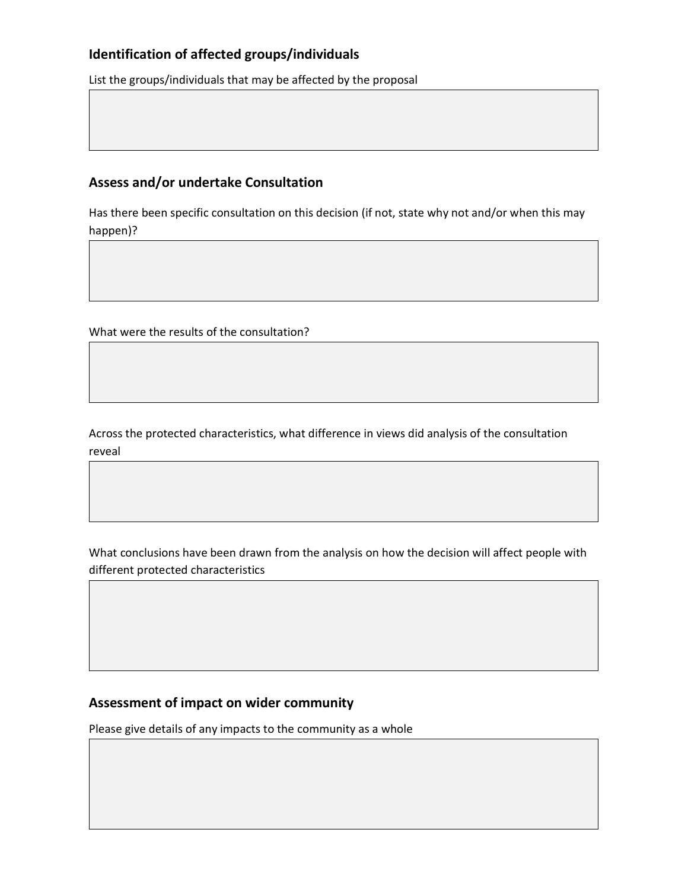## Identification of affected groups/individuals

List the groups/individuals that may be affected by the proposal

## Assess and/or undertake Consultation

Has there been specific consultation on this decision (if not, state why not and/or when this may happen)?

What were the results of the consultation?

Across the protected characteristics, what difference in views did analysis of the consultation reveal

What conclusions have been drawn from the analysis on how the decision will affect people with different protected characteristics

## Assessment of impact on wider community

Please give details of any impacts to the community as a whole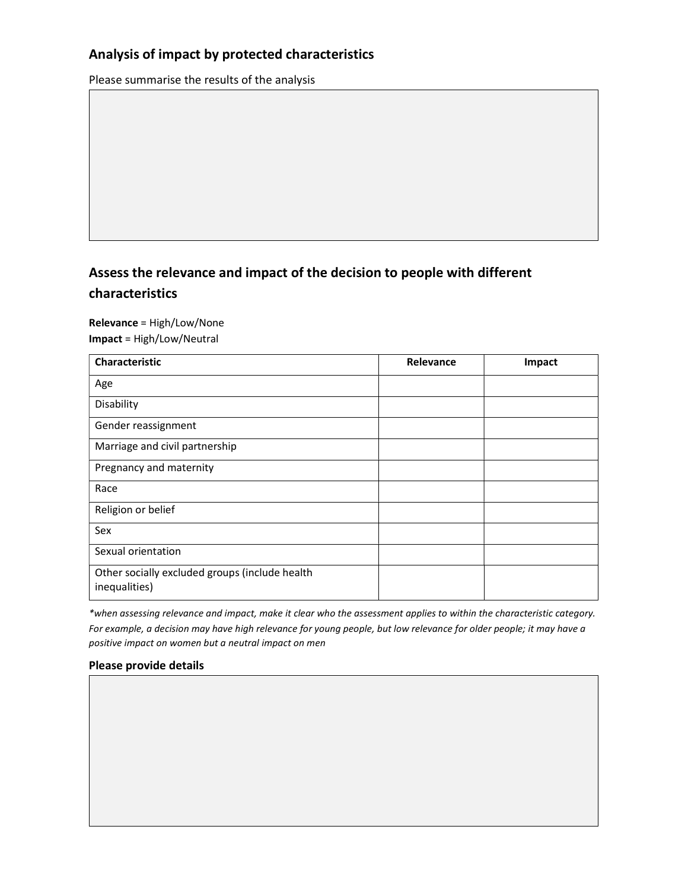## Analysis of impact by protected characteristics

Please summarise the results of the analysis

# Assess the relevance and impact of the decision to people with different

#### characteristics

#### Relevance = High/Low/None

Impact = High/Low/Neutral

| Characteristic                                                  | Relevance | Impact |
|-----------------------------------------------------------------|-----------|--------|
| Age                                                             |           |        |
| Disability                                                      |           |        |
| Gender reassignment                                             |           |        |
| Marriage and civil partnership                                  |           |        |
| Pregnancy and maternity                                         |           |        |
| Race                                                            |           |        |
| Religion or belief                                              |           |        |
| Sex                                                             |           |        |
| Sexual orientation                                              |           |        |
| Other socially excluded groups (include health<br>inequalities) |           |        |

\*when assessing relevance and impact, make it clear who the assessment applies to within the characteristic category. For example, a decision may have high relevance for young people, but low relevance for older people; it may have a positive impact on women but a neutral impact on men

#### Please provide details